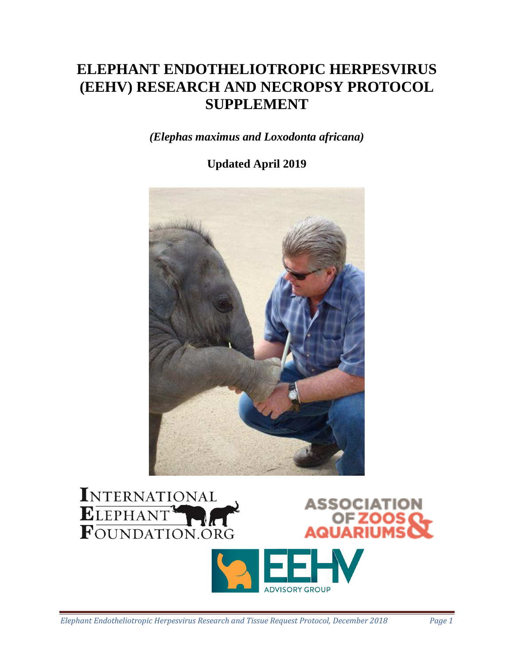# **ELEPHANT ENDOTHELIOTROPIC HERPESVIRUS (EEHV) RESEARCH AND NECROPSY PROTOCOL SUPPLEMENT**

*(Elephas maximus and Loxodonta africana)*

# **Updated April 2019**





**ADVISORY GROUP**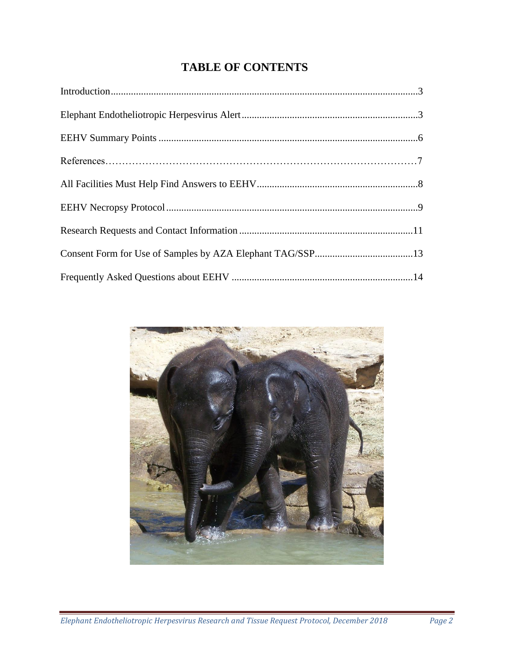# **TABLE OF CONTENTS**

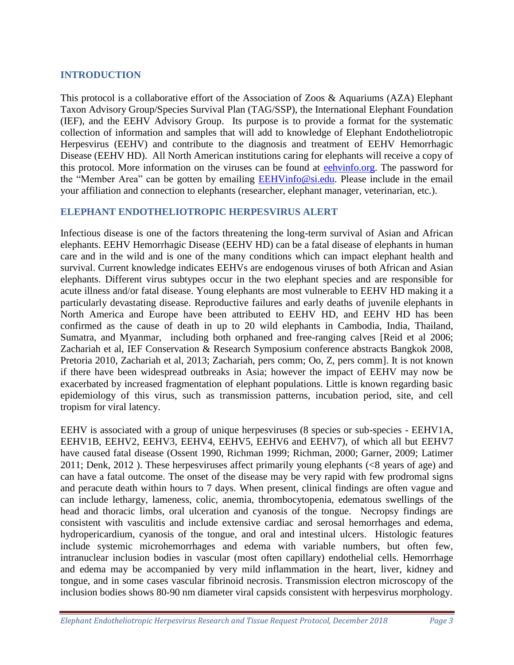# **INTRODUCTION**

This protocol is a collaborative effort of the Association of Zoos & Aquariums (AZA) Elephant Taxon Advisory Group/Species Survival Plan (TAG/SSP), the International Elephant Foundation (IEF), and the EEHV Advisory Group. Its purpose is to provide a format for the systematic collection of information and samples that will add to knowledge of Elephant Endotheliotropic Herpesvirus (EEHV) and contribute to the diagnosis and treatment of EEHV Hemorrhagic Disease (EEHV HD). All North American institutions caring for elephants will receive a copy of this protocol. More information on the viruses can be found at [eehvinfo.org.](http://www.eehvinfo.org/) The password for the "Member Area" can be gotten by emailing [EEHVinfo@si.edu.](mailto:EEHVinfo@si.edu) Please include in the email your affiliation and connection to elephants (researcher, elephant manager, veterinarian, etc.).

# **ELEPHANT ENDOTHELIOTROPIC HERPESVIRUS ALERT**

Infectious disease is one of the factors threatening the long-term survival of Asian and African elephants. EEHV Hemorrhagic Disease (EEHV HD) can be a fatal disease of elephants in human care and in the wild and is one of the many conditions which can impact elephant health and survival. Current knowledge indicates EEHVs are endogenous viruses of both African and Asian elephants. Different virus subtypes occur in the two elephant species and are responsible for acute illness and/or fatal disease. Young elephants are most vulnerable to EEHV HD making it a particularly devastating disease. Reproductive failures and early deaths of juvenile elephants in North America and Europe have been attributed to EEHV HD, and EEHV HD has been confirmed as the cause of death in up to 20 wild elephants in Cambodia, India, Thailand, Sumatra, and Myanmar, including both orphaned and free-ranging calves [Reid et al 2006; Zachariah et al, IEF Conservation & Research Symposium conference abstracts Bangkok 2008, Pretoria 2010, Zachariah et al, 2013; Zachariah, pers comm; Oo, Z, pers comm]. It is not known if there have been widespread outbreaks in Asia; however the impact of EEHV may now be exacerbated by increased fragmentation of elephant populations. Little is known regarding basic epidemiology of this virus, such as transmission patterns, incubation period, site, and cell tropism for viral latency.

EEHV is associated with a group of unique herpesviruses (8 species or sub-species - EEHV1A, EEHV1B, EEHV2, EEHV3, EEHV4, EEHV5, EEHV6 and EEHV7), of which all but EEHV7 have caused fatal disease (Ossent 1990, Richman 1999; Richman, 2000; Garner, 2009; Latimer 2011; Denk, 2012 ). These herpesviruses affect primarily young elephants (<8 years of age) and can have a fatal outcome. The onset of the disease may be very rapid with few prodromal signs and peracute death within hours to 7 days. When present, clinical findings are often vague and can include lethargy, lameness, colic, anemia, thrombocytopenia, edematous swellings of the head and thoracic limbs, oral ulceration and cyanosis of the tongue. Necropsy findings are consistent with vasculitis and include extensive cardiac and serosal hemorrhages and edema, hydropericardium, cyanosis of the tongue, and oral and intestinal ulcers. Histologic features include systemic microhemorrhages and edema with variable numbers, but often few, intranuclear inclusion bodies in vascular (most often capillary) endothelial cells. Hemorrhage and edema may be accompanied by very mild inflammation in the heart, liver, kidney and tongue, and in some cases vascular fibrinoid necrosis. Transmission electron microscopy of the inclusion bodies shows 80-90 nm diameter viral capsids consistent with herpesvirus morphology.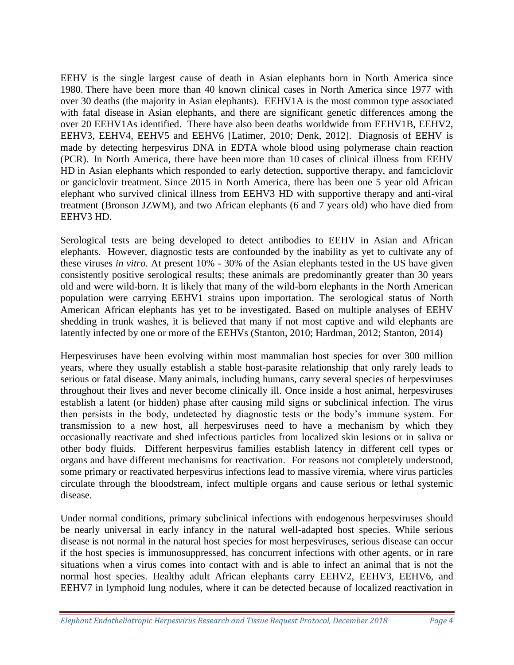EEHV is the single largest cause of death in Asian elephants born in North America since 1980. There have been more than 40 known clinical cases in North America since 1977 with over 30 deaths (the majority in Asian elephants). EEHV1A is the most common type associated with fatal disease in Asian elephants, and there are significant genetic differences among the over 20 EEHV1As identified. There have also been deaths worldwide from EEHV1B, EEHV2, EEHV3, EEHV4, EEHV5 and EEHV6 [Latimer, 2010; Denk, 2012]. Diagnosis of EEHV is made by detecting herpesvirus DNA in EDTA whole blood using polymerase chain reaction (PCR). In North America, there have been more than 10 cases of clinical illness from EEHV HD in Asian elephants which responded to early detection, supportive therapy, and famciclovir or ganciclovir treatment. Since 2015 in North America, there has been one 5 year old African elephant who survived clinical illness from EEHV3 HD with supportive therapy and anti-viral treatment (Bronson JZWM), and two African elephants (6 and 7 years old) who have died from EEHV3 HD.

Serological tests are being developed to detect antibodies to EEHV in Asian and African elephants. However, diagnostic tests are confounded by the inability as yet to cultivate any of these viruses *in vitro*. At present 10% - 30% of the Asian elephants tested in the US have given consistently positive serological results; these animals are predominantly greater than 30 years old and were wild-born. It is likely that many of the wild-born elephants in the North American population were carrying EEHV1 strains upon importation. The serological status of North American African elephants has yet to be investigated. Based on multiple analyses of EEHV shedding in trunk washes, it is believed that many if not most captive and wild elephants are latently infected by one or more of the EEHVs (Stanton, 2010; Hardman, 2012; Stanton, 2014)

Herpesviruses have been evolving within most mammalian host species for over 300 million years, where they usually establish a stable host-parasite relationship that only rarely leads to serious or fatal disease. Many animals, including humans, carry several species of herpesviruses throughout their lives and never become clinically ill. Once inside a host animal, herpesviruses establish a latent (or hidden) phase after causing mild signs or subclinical infection. The virus then persists in the body, undetected by diagnostic tests or the body's immune system. For transmission to a new host, all herpesviruses need to have a mechanism by which they occasionally reactivate and shed infectious particles from localized skin lesions or in saliva or other body fluids. Different herpesvirus families establish latency in different cell types or organs and have different mechanisms for reactivation. For reasons not completely understood, some primary or reactivated herpesvirus infections lead to massive viremia, where virus particles circulate through the bloodstream, infect multiple organs and cause serious or lethal systemic disease.

Under normal conditions, primary subclinical infections with endogenous herpesviruses should be nearly universal in early infancy in the natural well-adapted host species. While serious disease is not normal in the natural host species for most herpesviruses, serious disease can occur if the host species is immunosuppressed, has concurrent infections with other agents, or in rare situations when a virus comes into contact with and is able to infect an animal that is not the normal host species. Healthy adult African elephants carry EEHV2, EEHV3, EEHV6, and EEHV7 in lymphoid lung nodules, where it can be detected because of localized reactivation in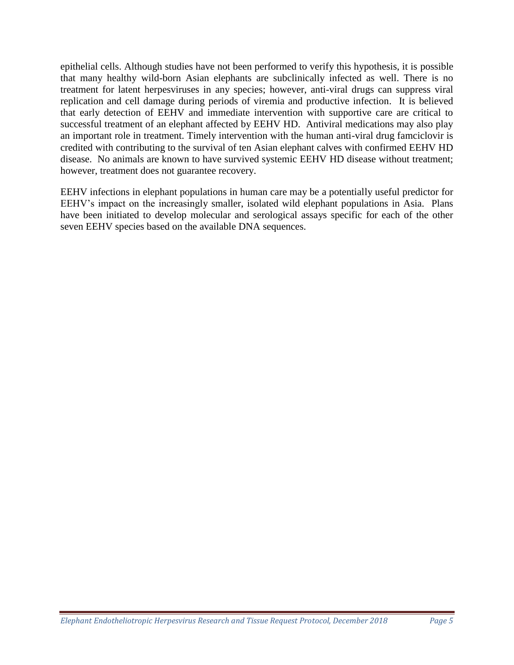epithelial cells. Although studies have not been performed to verify this hypothesis, it is possible that many healthy wild-born Asian elephants are subclinically infected as well. There is no treatment for latent herpesviruses in any species; however, anti-viral drugs can suppress viral replication and cell damage during periods of viremia and productive infection. It is believed that early detection of EEHV and immediate intervention with supportive care are critical to successful treatment of an elephant affected by EEHV HD. Antiviral medications may also play an important role in treatment. Timely intervention with the human anti-viral drug famciclovir is credited with contributing to the survival of ten Asian elephant calves with confirmed EEHV HD disease. No animals are known to have survived systemic EEHV HD disease without treatment; however, treatment does not guarantee recovery.

EEHV infections in elephant populations in human care may be a potentially useful predictor for EEHV's impact on the increasingly smaller, isolated wild elephant populations in Asia. Plans have been initiated to develop molecular and serological assays specific for each of the other seven EEHV species based on the available DNA sequences.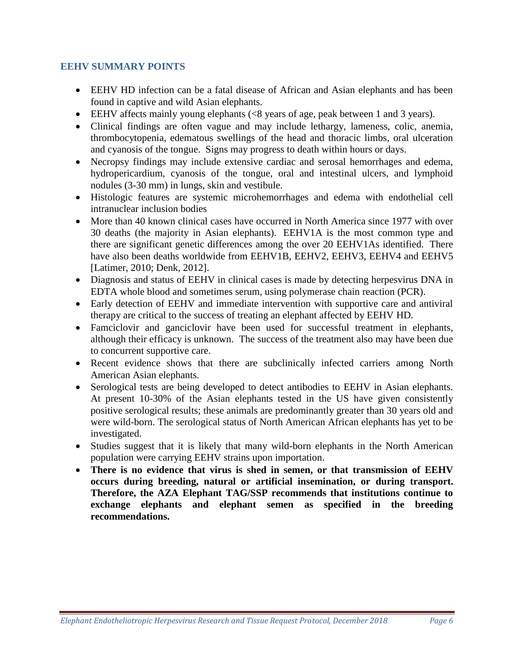# **EEHV SUMMARY POINTS**

- EEHV HD infection can be a fatal disease of African and Asian elephants and has been found in captive and wild Asian elephants.
- EEHV affects mainly young elephants (<8 years of age, peak between 1 and 3 years).
- Clinical findings are often vague and may include lethargy, lameness, colic, anemia, thrombocytopenia, edematous swellings of the head and thoracic limbs, oral ulceration and cyanosis of the tongue. Signs may progress to death within hours or days.
- Necropsy findings may include extensive cardiac and serosal hemorrhages and edema, hydropericardium, cyanosis of the tongue, oral and intestinal ulcers, and lymphoid nodules (3-30 mm) in lungs, skin and vestibule.
- Histologic features are systemic microhemorrhages and edema with endothelial cell intranuclear inclusion bodies
- More than 40 known clinical cases have occurred in North America since 1977 with over 30 deaths (the majority in Asian elephants). EEHV1A is the most common type and there are significant genetic differences among the over 20 EEHV1As identified. There have also been deaths worldwide from EEHV1B, EEHV2, EEHV3, EEHV4 and EEHV5 [Latimer, 2010; Denk, 2012].
- Diagnosis and status of EEHV in clinical cases is made by detecting herpesvirus DNA in EDTA whole blood and sometimes serum, using polymerase chain reaction (PCR).
- Early detection of EEHV and immediate intervention with supportive care and antiviral therapy are critical to the success of treating an elephant affected by EEHV HD.
- Famciclovir and ganciclovir have been used for successful treatment in elephants, although their efficacy is unknown. The success of the treatment also may have been due to concurrent supportive care.
- Recent evidence shows that there are subclinically infected carriers among North American Asian elephants.
- Serological tests are being developed to detect antibodies to EEHV in Asian elephants. At present 10-30% of the Asian elephants tested in the US have given consistently positive serological results; these animals are predominantly greater than 30 years old and were wild-born. The serological status of North American African elephants has yet to be investigated.
- Studies suggest that it is likely that many wild-born elephants in the North American population were carrying EEHV strains upon importation.
- **There is no evidence that virus is shed in semen, or that transmission of EEHV occurs during breeding, natural or artificial insemination, or during transport. Therefore, the AZA Elephant TAG/SSP recommends that institutions continue to exchange elephants and elephant semen as specified in the breeding recommendations.**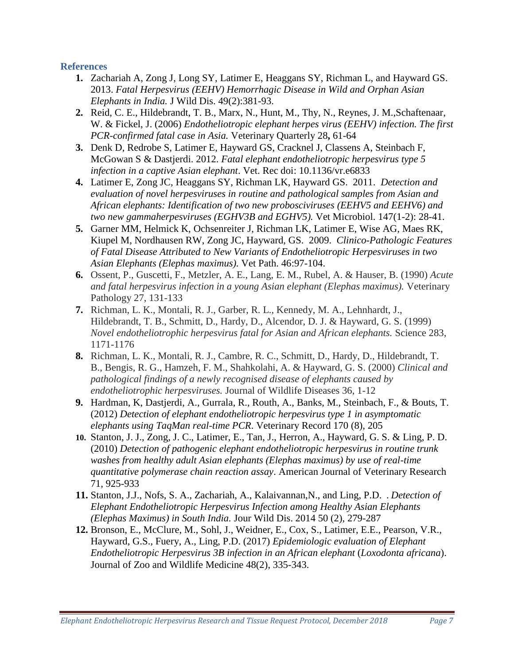# **References**

- **1.** Zachariah A, Zong J, Long SY, Latimer E, Heaggans SY, Richman L, and Hayward GS. 2013. *Fatal Herpesvirus (EEHV) Hemorrhagic Disease in Wild and Orphan Asian Elephants in India.* J Wild Dis. 49(2):381-93.
- **2.** Reid, C. E., Hildebrandt, T. B., Marx, N., Hunt, M., Thy, N., Reynes, J. M.,Schaftenaar, W. & Fickel, J. (2006) *Endotheliotropic elephant herpes virus (EEHV) infection. The first PCR-confirmed fatal case in Asia.* Veterinary Quarterly 28**,** 61-64
- **3.** Denk D, Redrobe S, Latimer E, Hayward GS, Cracknel J, Classens A, Steinbach F, McGowan S & Dastjerdi. 2012. *Fatal elephant endotheliotropic herpesvirus type 5 infection in a captive Asian elephant*. Vet. Rec doi: 10.1136/vr.e6833
- **4.** Latimer E, Zong JC, Heaggans SY, Richman LK, Hayward GS. 2011. *Detection and evaluation of novel herpesviruses in routine and pathological samples from Asian and African elephants: Identification of two new probosciviruses (EEHV5 and EEHV6) and two new gammaherpesviruses (EGHV3B and EGHV5).* Vet Microbiol. 147(1-2): 28-41.
- **5.** Garner MM, Helmick K, Ochsenreiter J, Richman LK, Latimer E, Wise AG, Maes RK, Kiupel M, Nordhausen RW, Zong JC, Hayward, GS. 2009. *Clinico-Pathologic Features of Fatal Disease Attributed to New Variants of Endotheliotropic Herpesviruses in two Asian Elephants (Elephas maximus).* Vet Path. 46:97-104.
- **6.** Ossent, P., Guscetti, F., Metzler, A. E., Lang, E. M., Rubel, A. & Hauser, B. (1990) *Acute and fatal herpesvirus infection in a young Asian elephant (Elephas maximus).* Veterinary Pathology 27, 131-133
- **7.** Richman, L. K., Montali, R. J., Garber, R. L., Kennedy, M. A., Lehnhardt, J., Hildebrandt, T. B., Schmitt, D., Hardy, D., Alcendor, D. J. & Hayward, G. S. (1999) *Novel endotheliotrophic herpesvirus fatal for Asian and African elephants.* Science 283, 1171-1176
- **8.** Richman, L. K., Montali, R. J., Cambre, R. C., Schmitt, D., Hardy, D., Hildebrandt, T. B., Bengis, R. G., Hamzeh, F. M., Shahkolahi, A. & Hayward, G. S. (2000) *Clinical and pathological findings of a newly recognised disease of elephants caused by endotheliotrophic herpesviruses.* Journal of Wildlife Diseases 36, 1-12
- **9.** Hardman, K, Dastjerdi, A., Gurrala, R., Routh, A., Banks, M., Steinbach, F., & Bouts, T. (2012) *Detection of elephant endotheliotropic herpesvirus type 1 in asymptomatic elephants using TaqMan real-time PCR*. Veterinary Record 170 (8), 205
- **10.** Stanton, J. J., Zong, J. C., Latimer, E., Tan, J., Herron, A., Hayward, G. S. & Ling, P. D. (2010) *Detection of pathogenic elephant endotheliotropic herpesvirus in routine trunk washes from healthy adult Asian elephants (Elephas maximus) by use of real-time quantitative polymerase chain reaction assay*. American Journal of Veterinary Research 71, 925-933
- **11.** Stanton, J.J., Nofs, S. A., Zachariah, A., Kalaivannan,N., and Ling, P.D. . *Detection of Elephant Endotheliotropic Herpesvirus Infection among Healthy Asian Elephants (Elephas Maximus) in South India.* Jour Wild Dis. 2014 50 (2), 279-287
- **12.** Bronson, E., McClure, M., Sohl, J., Weidner, E., Cox, S., Latimer, E.E., Pearson, V.R., Hayward, G.S., Fuery, A., Ling, P.D. (2017) *Epidemiologic evaluation of Elephant Endotheliotropic Herpesvirus 3B infection in an African elephant* (*Loxodonta africana*). Journal of Zoo and Wildlife Medicine 48(2), 335-343.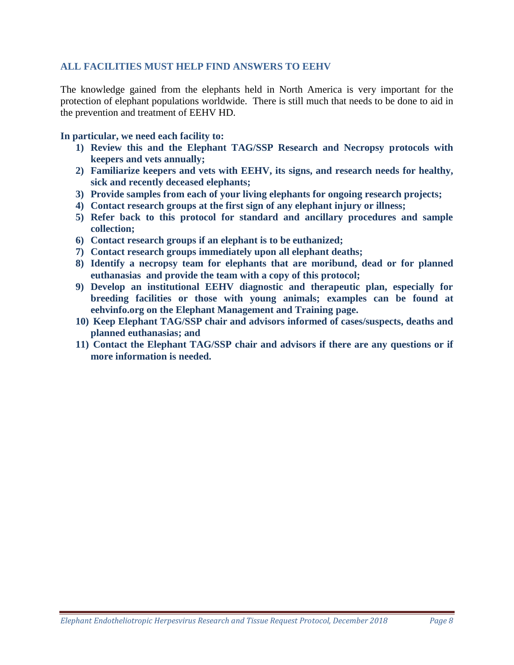# **ALL FACILITIES MUST HELP FIND ANSWERS TO EEHV**

The knowledge gained from the elephants held in North America is very important for the protection of elephant populations worldwide. There is still much that needs to be done to aid in the prevention and treatment of EEHV HD.

**In particular, we need each facility to:**

- **1) Review this and the Elephant TAG/SSP Research and Necropsy protocols with keepers and vets annually;**
- **2) Familiarize keepers and vets with EEHV, its signs, and research needs for healthy, sick and recently deceased elephants;**
- **3) Provide samples from each of your living elephants for ongoing research projects;**
- **4) Contact research groups at the first sign of any elephant injury or illness;**
- **5) Refer back to this protocol for standard and ancillary procedures and sample collection;**
- **6) Contact research groups if an elephant is to be euthanized;**
- **7) Contact research groups immediately upon all elephant deaths;**
- **8) Identify a necropsy team for elephants that are moribund, dead or for planned euthanasias and provide the team with a copy of this protocol;**
- **9) Develop an institutional EEHV diagnostic and therapeutic plan, especially for breeding facilities or those with young animals; examples can be found at eehvinfo.org on the Elephant Management and Training page.**
- **10) Keep Elephant TAG/SSP chair and advisors informed of cases/suspects, deaths and planned euthanasias; and**
- **11) Contact the Elephant TAG/SSP chair and advisors if there are any questions or if more information is needed.**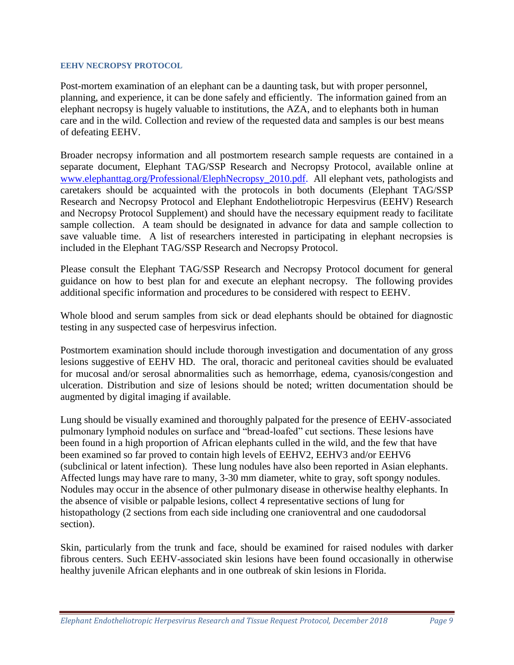### **EEHV NECROPSY PROTOCOL**

Post-mortem examination of an elephant can be a daunting task, but with proper personnel, planning, and experience, it can be done safely and efficiently. The information gained from an elephant necropsy is hugely valuable to institutions, the AZA, and to elephants both in human care and in the wild. Collection and review of the requested data and samples is our best means of defeating EEHV.

Broader necropsy information and all postmortem research sample requests are contained in a separate document, Elephant TAG/SSP Research and Necropsy Protocol, available online at www.elephanttag.org/Professional/ElephNecropsy\_2010.pdf. All elephant vets, pathologists and caretakers should be acquainted with the protocols in both documents (Elephant TAG/SSP Research and Necropsy Protocol and Elephant Endotheliotropic Herpesvirus (EEHV) Research and Necropsy Protocol Supplement) and should have the necessary equipment ready to facilitate sample collection. A team should be designated in advance for data and sample collection to save valuable time. A list of researchers interested in participating in elephant necropsies is included in the Elephant TAG/SSP Research and Necropsy Protocol.

Please consult the Elephant TAG/SSP Research and Necropsy Protocol document for general guidance on how to best plan for and execute an elephant necropsy. The following provides additional specific information and procedures to be considered with respect to EEHV.

Whole blood and serum samples from sick or dead elephants should be obtained for diagnostic testing in any suspected case of herpesvirus infection.

Postmortem examination should include thorough investigation and documentation of any gross lesions suggestive of EEHV HD. The oral, thoracic and peritoneal cavities should be evaluated for mucosal and/or serosal abnormalities such as hemorrhage, edema, cyanosis/congestion and ulceration. Distribution and size of lesions should be noted; written documentation should be augmented by digital imaging if available.

Lung should be visually examined and thoroughly palpated for the presence of EEHV-associated pulmonary lymphoid nodules on surface and "bread-loafed" cut sections. These lesions have been found in a high proportion of African elephants culled in the wild, and the few that have been examined so far proved to contain high levels of EEHV2, EEHV3 and/or EEHV6 (subclinical or latent infection). These lung nodules have also been reported in Asian elephants. Affected lungs may have rare to many, 3-30 mm diameter, white to gray, soft spongy nodules. Nodules may occur in the absence of other pulmonary disease in otherwise healthy elephants. In the absence of visible or palpable lesions, collect 4 representative sections of lung for histopathology (2 sections from each side including one cranioventral and one caudodorsal section).

Skin, particularly from the trunk and face, should be examined for raised nodules with darker fibrous centers. Such EEHV-associated skin lesions have been found occasionally in otherwise healthy juvenile African elephants and in one outbreak of skin lesions in Florida.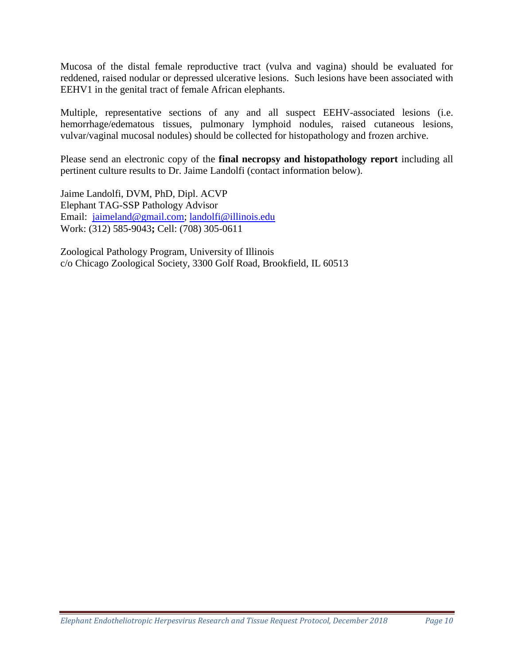Mucosa of the distal female reproductive tract (vulva and vagina) should be evaluated for reddened, raised nodular or depressed ulcerative lesions. Such lesions have been associated with EEHV1 in the genital tract of female African elephants.

Multiple, representative sections of any and all suspect EEHV-associated lesions (i.e. hemorrhage/edematous tissues, pulmonary lymphoid nodules, raised cutaneous lesions, vulvar/vaginal mucosal nodules) should be collected for histopathology and frozen archive.

Please send an electronic copy of the **final necropsy and histopathology report** including all pertinent culture results to Dr. Jaime Landolfi (contact information below).

Jaime Landolfi, DVM, PhD, Dipl. ACVP Elephant TAG-SSP Pathology Advisor Email: [jaimeland@gmail.com;](mailto:jaimeland@gmail.com) [landolfi@illinois.edu](mailto:landolfi@illinois.edu) Work: (312) 585-9043**;** Cell: (708) 305-0611

Zoological Pathology Program, University of Illinois c/o Chicago Zoological Society, 3300 Golf Road, Brookfield, IL 60513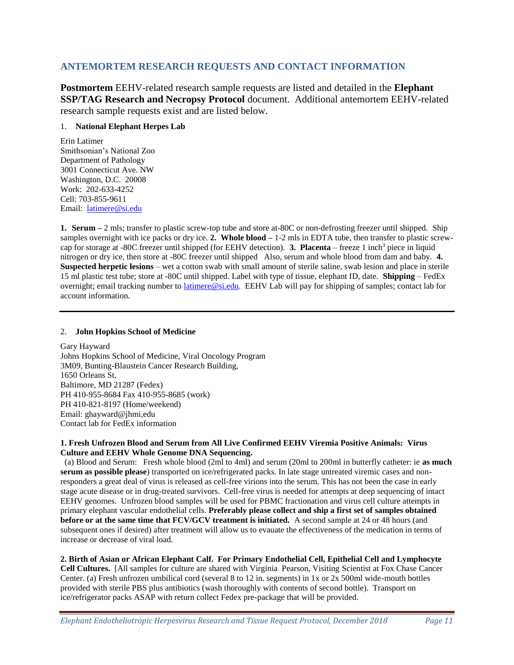# **ANTEMORTEM RESEARCH REQUESTS AND CONTACT INFORMATION**

**Postmortem** EEHV-related research sample requests are listed and detailed in the **Elephant SSP/TAG Research and Necropsy Protocol** document. Additional antemortem EEHV-related research sample requests exist and are listed below.

### 1. **National Elephant Herpes Lab**

Erin Latimer Smithsonian's National Zoo Department of Pathology 3001 Connecticut Ave. NW Washington, D.C. 20008 Work: 202-633-4252 Cell: 703-855-9611 Email: [latimere@si.edu](mailto:latimere@si.edu)

**1. Serum –** 2 mls; transfer to plastic screw-top tube and store at-80C or non-defrosting freezer until shipped. Ship samples overnight with ice packs or dry ice. **2. Whole blood –** 1-2 mls in EDTA tube, then transfer to plastic screwcap for storage at -80C freezer until shipped (for EEHV detection). **3. Placenta** – freeze 1 inch<sup>3</sup> piece in liquid nitrogen or dry ice, then store at -80C freezer until shipped Also, serum and whole blood from dam and baby. **4. Suspected herpetic lesions** – wet a cotton swab with small amount of sterile saline, swab lesion and place in sterile 15 ml plastic test tube; store at -80C until shipped. Label with type of tissue, elephant ID, date. **Shipping** – FedEx overnight; email tracking number to [latimere@si.edu.](mailto:latimere@si.edu) EEHV Lab will pay for shipping of samples; contact lab for account information.

#### 2. **John Hopkins School of Medicine**

Gary Hayward Johns Hopkins School of Medicine, Viral Oncology Program 3M09, Bunting-Blaustein Cancer Research Building, 1650 Orleans St, Baltimore, MD 21287 (Fedex) PH 410-955-8684 Fax 410-955-8685 (work) PH 410-821-8197 (Home/weekend) Email: ghayward@jhmi,edu Contact lab for FedEx information

#### **1. Fresh Unfrozen Blood and Serum from All Live Confirmed EEHV Viremia Positive Animals: Virus Culture and EEHV Whole Genome DNA Sequencing.**

 (a) Blood and Serum: Fresh whole blood (2ml to 4ml) and serum (20ml to 200ml in butterfly catheter: ie **as much serum as possible please**) transported on ice/refrigerated packs. In late stage untreated viremic cases and nonresponders a great deal of virus is released as cell-free virions into the serum. This has not been the case in early stage acute disease or in drug-treated survivors. Cell-free virus is needed for attempts at deep sequencing of intact EEHV genomes. Unfrozen blood samples will be used for PBMC fractionation and virus cell culture attempts in primary elephant vascular endothelial cells. **Preferably please collect and ship a first set of samples obtained before or at the same time that FCV/GCV treatment is initiated.** A second sample at 24 or 48 hours (and subsequent ones if desired) after treatment will allow us to evauate the effectiveness of the medication in terms of increase or decrease of viral load.

## **2. Birth of Asian or African Elephant Calf. For Primary Endothelial Cell, Epithelial Cell and Lymphocyte**

**Cell Cultures.** [All samples for culture are shared with Virginia Pearson, Visiting Scientist at Fox Chase Cancer Center. (a) Fresh unfrozen umbilical cord (several 8 to 12 in. segments) in 1x or 2x 500ml wide-mouth bottles provided with sterile PBS plus antibiotics (wash thoroughly with contents of second bottle). Transport on ice/refrigerator packs ASAP with return collect Fedex pre-package that will be provided.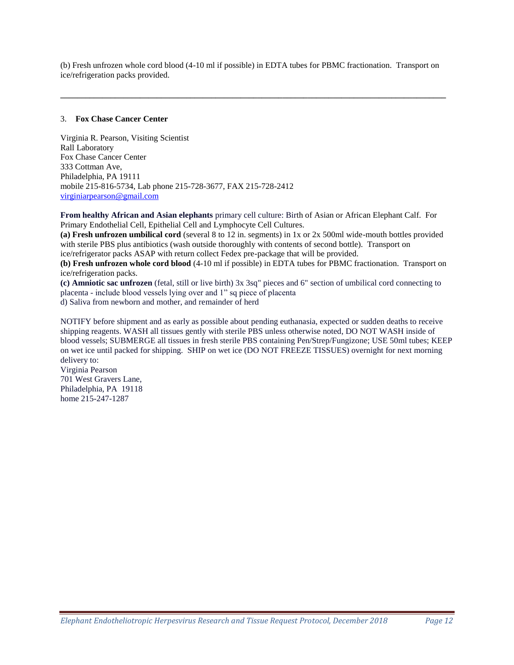(b) Fresh unfrozen whole cord blood (4-10 ml if possible) in EDTA tubes for PBMC fractionation. Transport on ice/refrigeration packs provided.

**\_\_\_\_\_\_\_\_\_\_\_\_\_\_\_\_\_\_\_\_\_\_\_\_\_\_\_\_\_\_\_\_\_\_\_\_\_\_\_\_\_\_\_\_\_\_\_\_\_\_\_\_\_\_\_\_\_\_\_\_\_\_\_\_\_\_\_\_\_\_\_\_\_\_\_\_\_\_\_\_\_\_\_\_\_\_\_\_\_\_\_\_**

#### 3. **Fox Chase Cancer Center**

Virginia R. Pearson, Visiting Scientist Rall Laboratory Fox Chase Cancer Center 333 Cottman Ave, Philadelphia, PA 19111 mobile 215-816-5734, Lab phone 215-728-3677, FAX 215-728-2412 [virginiarpearson@gmail.com](mailto:virginiapearson@gmail.com)

**From healthy African and Asian elephants** primary cell culture: Birth of Asian or African Elephant Calf. For Primary Endothelial Cell, Epithelial Cell and Lymphocyte Cell Cultures.

**(a) Fresh unfrozen umbilical cord** (several 8 to 12 in. segments) in 1x or 2x 500ml wide-mouth bottles provided with sterile PBS plus antibiotics (wash outside thoroughly with contents of second bottle). Transport on ice/refrigerator packs ASAP with return collect Fedex pre-package that will be provided.

**(b) Fresh unfrozen whole cord blood** (4-10 ml if possible) in EDTA tubes for PBMC fractionation. Transport on ice/refrigeration packs.

**(c) Amniotic sac unfrozen** (fetal, still or live birth) 3x 3sq" pieces and 6" section of umbilical cord connecting to placenta - include blood vessels lying over and 1" sq piece of placenta d) Saliva from newborn and mother, and remainder of herd

NOTIFY before shipment and as early as possible about pending euthanasia, expected or sudden deaths to receive shipping reagents. WASH all tissues gently with sterile PBS unless otherwise noted, DO NOT WASH inside of blood vessels; SUBMERGE all tissues in fresh sterile PBS containing Pen/Strep/Fungizone; USE 50ml tubes; KEEP on wet ice until packed for shipping. SHIP on wet ice (DO NOT FREEZE TISSUES) overnight for next morning delivery to:

Virginia Pearson 701 West Gravers Lane, Philadelphia, PA 19118 home 215-247-1287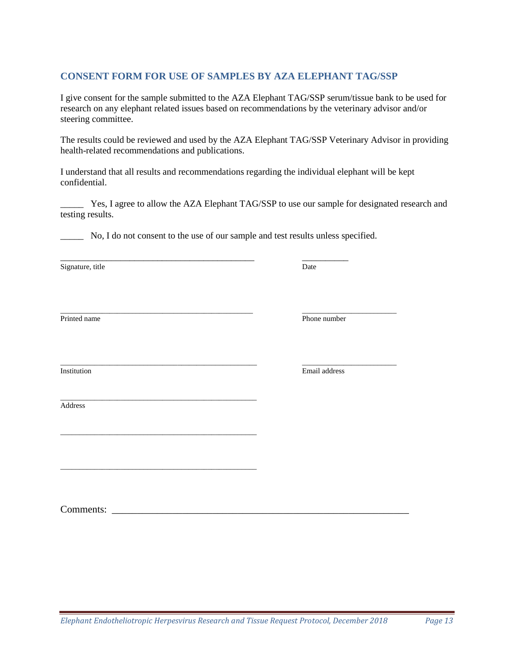# **CONSENT FORM FOR USE OF SAMPLES BY AZA ELEPHANT TAG/SSP**

I give consent for the sample submitted to the AZA Elephant TAG/SSP serum/tissue bank to be used for research on any elephant related issues based on recommendations by the veterinary advisor and/or steering committee.

The results could be reviewed and used by the AZA Elephant TAG/SSP Veterinary Advisor in providing health-related recommendations and publications.

I understand that all results and recommendations regarding the individual elephant will be kept confidential.

Yes, I agree to allow the AZA Elephant TAG/SSP to use our sample for designated research and testing results.

\_\_\_\_\_ No, I do not consent to the use of our sample and test results unless specified.

\_\_\_\_\_\_\_\_\_\_\_\_\_\_\_\_\_\_\_\_\_\_\_\_\_\_\_\_\_\_\_\_\_\_\_\_\_\_\_\_\_\_\_\_\_\_\_\_\_\_\_ \_\_\_\_\_\_\_\_\_\_\_\_\_\_\_\_\_\_\_\_\_\_\_\_\_

\_\_\_\_\_\_\_\_\_\_\_\_\_\_\_\_\_\_\_\_\_\_\_\_\_\_\_\_\_\_\_\_\_\_\_\_\_\_\_\_\_\_ \_\_\_\_\_\_\_\_\_\_

\_\_\_\_\_\_\_\_\_\_\_\_\_\_\_\_\_\_\_\_\_\_\_\_\_\_\_\_\_\_\_\_\_\_\_\_\_\_\_\_\_\_\_\_\_\_\_\_\_\_\_\_

\_\_\_\_\_\_\_\_\_\_\_\_\_\_\_\_\_\_\_\_\_\_\_\_\_\_\_\_\_\_\_\_\_\_\_\_\_\_\_\_\_\_\_\_\_\_\_\_\_\_\_\_

\_\_\_\_\_\_\_\_\_\_\_\_\_\_\_\_\_\_\_\_\_\_\_\_\_\_\_\_\_\_\_\_\_\_\_\_\_\_\_\_\_\_\_\_\_\_\_\_\_\_\_\_

Signature, title Date

Printed name Phone number

Address

\_\_\_\_\_\_\_\_\_\_\_\_\_\_\_\_\_\_\_\_\_\_\_\_\_\_\_\_\_\_\_\_\_\_\_\_\_\_\_\_\_\_\_\_\_\_\_\_\_\_\_\_ \_\_\_\_\_\_\_\_\_\_\_\_\_\_\_\_\_\_\_\_\_\_\_\_\_ Institution Email address

Comments: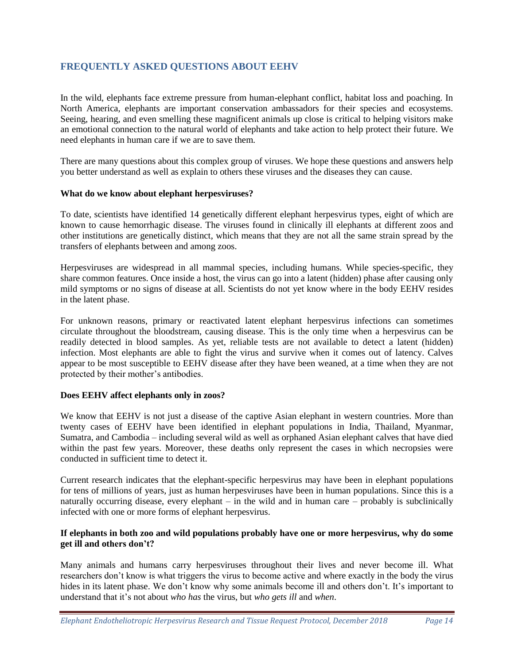# **FREQUENTLY ASKED QUESTIONS ABOUT EEHV**

In the wild, elephants face extreme pressure from human-elephant conflict, habitat loss and poaching. In North America, elephants are important conservation ambassadors for their species and ecosystems. Seeing, hearing, and even smelling these magnificent animals up close is critical to helping visitors make an emotional connection to the natural world of elephants and take action to help protect their future. We need elephants in human care if we are to save them.

There are many questions about this complex group of viruses. We hope these questions and answers help you better understand as well as explain to others these viruses and the diseases they can cause.

## **What do we know about elephant herpesviruses?**

To date, scientists have identified 14 genetically different elephant herpesvirus types, eight of which are known to cause hemorrhagic disease. The viruses found in clinically ill elephants at different zoos and other institutions are genetically distinct, which means that they are not all the same strain spread by the transfers of elephants between and among zoos.

Herpesviruses are widespread in all mammal species, including humans. While species-specific, they share common features. Once inside a host, the virus can go into a latent (hidden) phase after causing only mild symptoms or no signs of disease at all. Scientists do not yet know where in the body EEHV resides in the latent phase.

For unknown reasons, primary or reactivated latent elephant herpesvirus infections can sometimes circulate throughout the bloodstream, causing disease. This is the only time when a herpesvirus can be readily detected in blood samples. As yet, reliable tests are not available to detect a latent (hidden) infection. Most elephants are able to fight the virus and survive when it comes out of latency. Calves appear to be most susceptible to EEHV disease after they have been weaned, at a time when they are not protected by their mother's antibodies.

## **Does EEHV affect elephants only in zoos?**

We know that EEHV is not just a disease of the captive Asian elephant in western countries. More than twenty cases of EEHV have been identified in elephant populations in India, Thailand, Myanmar, Sumatra, and Cambodia – including several wild as well as orphaned Asian elephant calves that have died within the past few years. Moreover, these deaths only represent the cases in which necropsies were conducted in sufficient time to detect it.

Current research indicates that the elephant-specific herpesvirus may have been in elephant populations for tens of millions of years, just as human herpesviruses have been in human populations. Since this is a naturally occurring disease, every elephant – in the wild and in human care – probably is subclinically infected with one or more forms of elephant herpesvirus.

## **If elephants in both zoo and wild populations probably have one or more herpesvirus, why do some get ill and others don't?**

Many animals and humans carry herpesviruses throughout their lives and never become ill. What researchers don't know is what triggers the virus to become active and where exactly in the body the virus hides in its latent phase. We don't know why some animals become ill and others don't. It's important to understand that it's not about *who has* the virus, but *who gets ill* and *when*.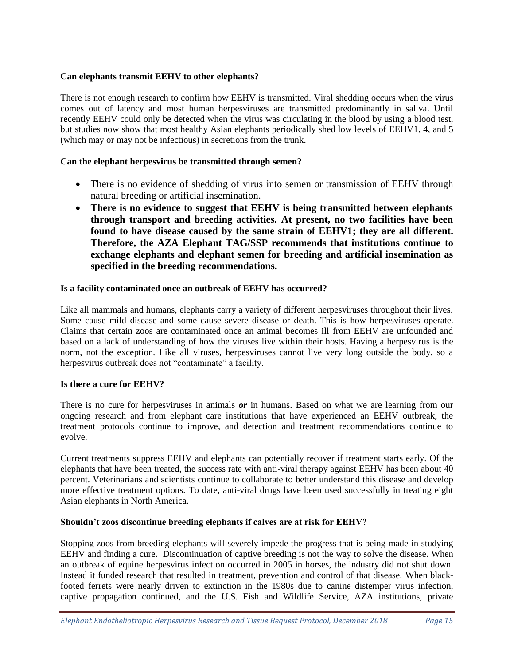## **Can elephants transmit EEHV to other elephants?**

There is not enough research to confirm how EEHV is transmitted. Viral shedding occurs when the virus comes out of latency and most human herpesviruses are transmitted predominantly in saliva. Until recently EEHV could only be detected when the virus was circulating in the blood by using a blood test, but studies now show that most healthy Asian elephants periodically shed low levels of EEHV1, 4, and 5 (which may or may not be infectious) in secretions from the trunk.

## **Can the elephant herpesvirus be transmitted through semen?**

- There is no evidence of shedding of virus into semen or transmission of EEHV through natural breeding or artificial insemination.
- **There is no evidence to suggest that EEHV is being transmitted between elephants through transport and breeding activities. At present, no two facilities have been found to have disease caused by the same strain of EEHV1; they are all different. Therefore, the AZA Elephant TAG/SSP recommends that institutions continue to exchange elephants and elephant semen for breeding and artificial insemination as specified in the breeding recommendations.**

## **Is a facility contaminated once an outbreak of EEHV has occurred?**

Like all mammals and humans, elephants carry a variety of different herpesviruses throughout their lives. Some cause mild disease and some cause severe disease or death. This is how herpesviruses operate. Claims that certain zoos are contaminated once an animal becomes ill from EEHV are unfounded and based on a lack of understanding of how the viruses live within their hosts. Having a herpesvirus is the norm, not the exception. Like all viruses, herpesviruses cannot live very long outside the body, so a herpesvirus outbreak does not "contaminate" a facility.

## **Is there a cure for EEHV?**

There is no cure for herpesviruses in animals *or* in humans. Based on what we are learning from our ongoing research and from elephant care institutions that have experienced an EEHV outbreak, the treatment protocols continue to improve, and detection and treatment recommendations continue to evolve.

Current treatments suppress EEHV and elephants can potentially recover if treatment starts early. Of the elephants that have been treated, the success rate with anti-viral therapy against EEHV has been about 40 percent. Veterinarians and scientists continue to collaborate to better understand this disease and develop more effective treatment options. To date, anti-viral drugs have been used successfully in treating eight Asian elephants in North America.

## **Shouldn't zoos discontinue breeding elephants if calves are at risk for EEHV?**

Stopping zoos from breeding elephants will severely impede the progress that is being made in studying EEHV and finding a cure. Discontinuation of captive breeding is not the way to solve the disease. When an outbreak of equine herpesvirus infection occurred in 2005 in horses, the industry did not shut down. Instead it funded research that resulted in treatment, prevention and control of that disease. When blackfooted ferrets were nearly driven to extinction in the 1980s due to canine distemper virus infection, captive propagation continued, and the U.S. Fish and Wildlife Service, AZA institutions, private